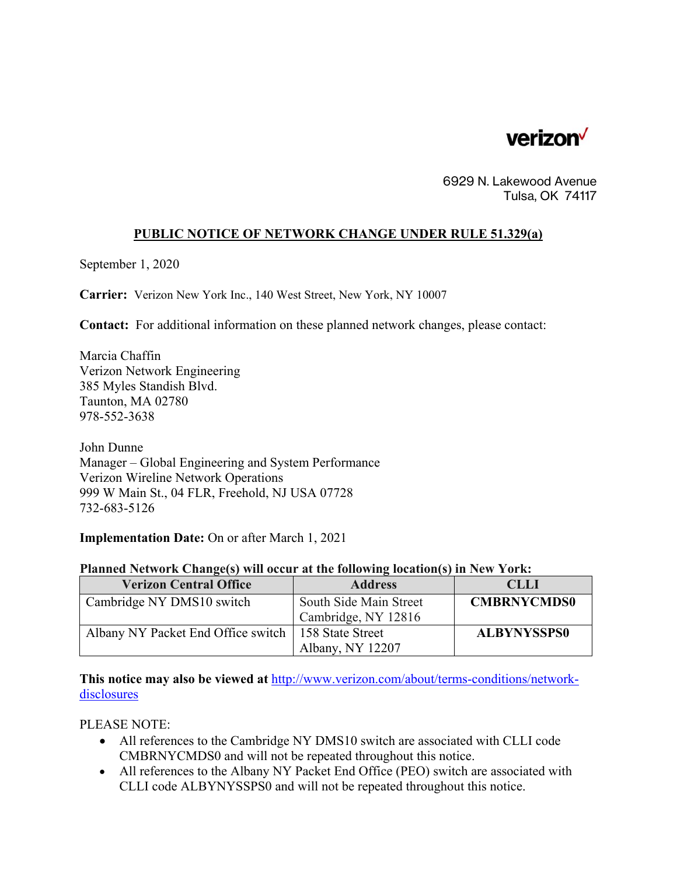

6929 N. Lakewood Avenue Tulsa, OK 74117

## **PUBLIC NOTICE OF NETWORK CHANGE UNDER RULE 51.329(a)**

September 1, 2020

**Carrier:** Verizon New York Inc., 140 West Street, New York, NY 10007

**Contact:** For additional information on these planned network changes, please contact:

Marcia Chaffin Verizon Network Engineering 385 Myles Standish Blvd. Taunton, MA 02780 978-552-3638

John Dunne Manager – Global Engineering and System Performance Verizon Wireline Network Operations 999 W Main St., 04 FLR, Freehold, NJ USA 07728 732-683-5126

**Implementation Date:** On or after March 1, 2021

|  | Planned Network Change(s) will occur at the following location(s) in New York: |  |  |  |  |
|--|--------------------------------------------------------------------------------|--|--|--|--|
|  |                                                                                |  |  |  |  |

| <b>Verizon Central Office</b>                         | <b>Address</b>         | <b>CLLI</b>        |
|-------------------------------------------------------|------------------------|--------------------|
| Cambridge NY DMS10 switch                             | South Side Main Street | <b>CMBRNYCMDS0</b> |
|                                                       | Cambridge, NY 12816    |                    |
| Albany NY Packet End Office switch   158 State Street |                        | <b>ALBYNYSSPS0</b> |
|                                                       | Albany, NY 12207       |                    |

**This notice may also be viewed at** http://www.verizon.com/about/terms-conditions/networkdisclosures

PLEASE NOTE:

- All references to the Cambridge NY DMS10 switch are associated with CLLI code CMBRNYCMDS0 and will not be repeated throughout this notice.
- All references to the Albany NY Packet End Office (PEO) switch are associated with CLLI code ALBYNYSSPS0 and will not be repeated throughout this notice.